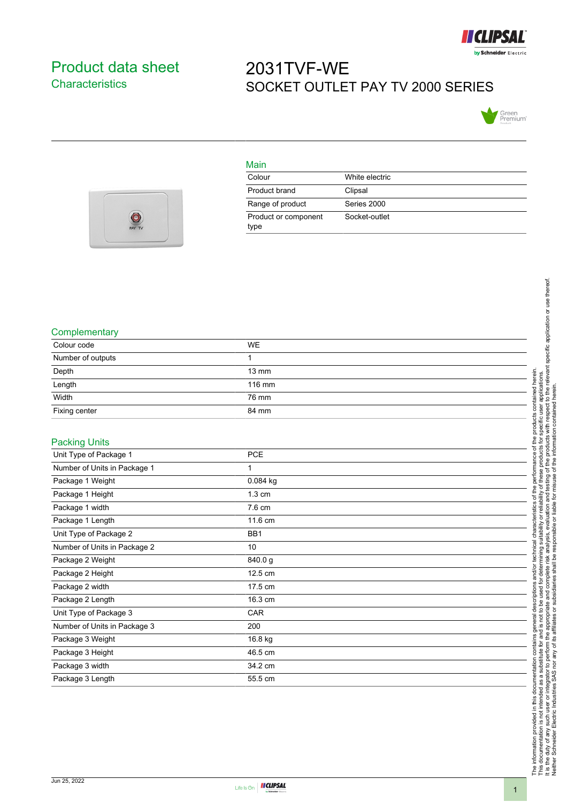

## <span id="page-0-0"></span>Product data sheet **Characteristics**

## 2031TVF-WE SOCKET OUTLET PAY TV 2000 SERIES



| PAY TV |  |
|--------|--|
|        |  |

| Main                         |                |
|------------------------------|----------------|
| Colour                       | White electric |
| Product brand                | Clipsal        |
| Range of product             | Series 2000    |
| Product or component<br>type | Socket-outlet  |

## **Complementary**

| oompioniontaly               |                  |  |
|------------------------------|------------------|--|
| Colour code                  | <b>WE</b>        |  |
| Number of outputs            | 1                |  |
| Depth                        | 13 mm            |  |
| Length                       | 116 mm           |  |
| Width                        | 76 mm            |  |
| Fixing center                | 84 mm            |  |
| <b>Packing Units</b>         |                  |  |
| Unit Type of Package 1       | PCE              |  |
| Number of Units in Package 1 | 1                |  |
| Package 1 Weight             | 0.084 kg         |  |
| Package 1 Height             | $1.3 \text{ cm}$ |  |
| Package 1 width              | 7.6 cm           |  |
| Package 1 Length             | 11.6 cm          |  |
| Unit Type of Package 2       | BB1              |  |
| Number of Units in Package 2 | 10               |  |
| Package 2 Weight             | 840.0g           |  |
| Package 2 Height             | 12.5 cm          |  |
| Package 2 width              | 17.5 cm          |  |
| Package 2 Length             | 16.3 cm          |  |
| Unit Type of Package 3       | CAR              |  |
| Number of Units in Package 3 | 200              |  |
| Package 3 Weight             | 16.8 kg          |  |
| Package 3 Height             | 46.5 cm          |  |
| Package 3 width              | 34.2 cm          |  |
| Package 3 Length             | 55.5 cm          |  |